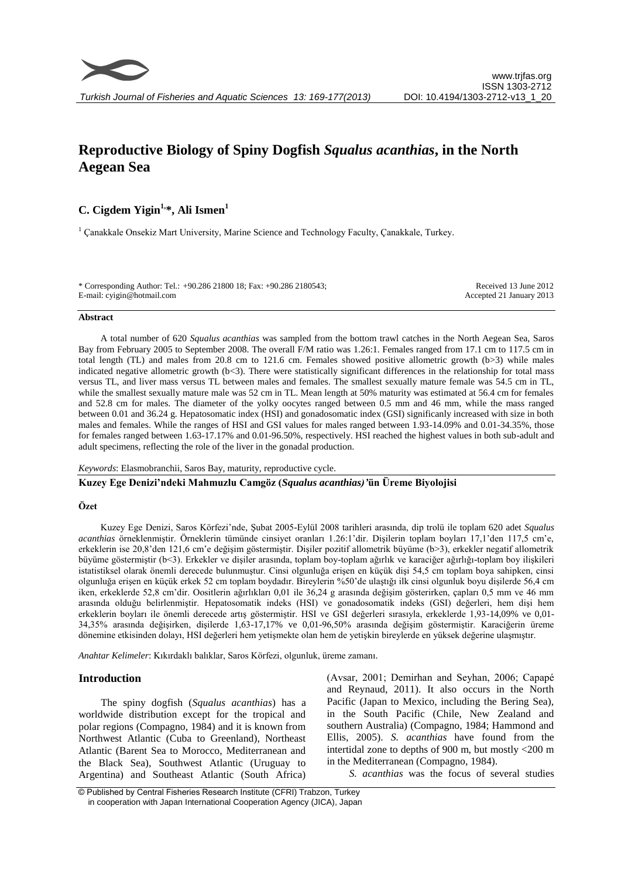

# **Reproductive Biology of Spiny Dogfish** *Squalus acanthias***, in the North Aegean Sea**

# **C. Cigdem Yigin1,\*, Ali Ismen<sup>1</sup>**

<sup>1</sup> Çanakkale Onsekiz Mart University, Marine Science and Technology Faculty, Çanakkale, Turkey.

\* Corresponding Author: Tel.: +90.286 21800 18; Fax: +90.286 2180543; E-mail: cyigin@hotmail.com

Received 13 June 2012 Accepted 21 January 2013

#### **Abstract**

A total number of 620 *Squalus acanthias* was sampled from the bottom trawl catches in the North Aegean Sea, Saros Bay from February 2005 to September 2008. The overall F/M ratio was 1.26:1. Females ranged from 17.1 cm to 117.5 cm in total length (TL) and males from 20.8 cm to 121.6 cm. Females showed positive allometric growth (b>3) while males indicated negative allometric growth (b<3). There were statistically significant differences in the relationship for total mass versus TL, and liver mass versus TL between males and females. The smallest sexually mature female was 54.5 cm in TL, while the smallest sexually mature male was 52 cm in TL. Mean length at 50% maturity was estimated at 56.4 cm for females and 52.8 cm for males. The diameter of the yolky oocytes ranged between 0.5 mm and 46 mm, while the mass ranged between 0.01 and 36.24 g. Hepatosomatic index (HSI) and gonadosomatic index (GSI) significanly increased with size in both males and females. While the ranges of HSI and GSI values for males ranged between 1.93-14.09% and 0.01-34.35%, those for females ranged between 1.63-17.17% and 0.01-96.50%, respectively. HSI reached the highest values in both sub-adult and adult specimens, reflecting the role of the liver in the gonadal production.

#### *Keywords*: Elasmobranchii, Saros Bay, maturity, reproductive cycle.

#### **Kuzey Ege Denizi'ndeki Mahmuzlu Camgöz (***Squalus acanthias)'***ün Üreme Biyolojisi**

#### **Özet**

Kuzey Ege Denizi, Saros Körfezi'nde, Şubat 2005-Eylül 2008 tarihleri arasında, dip trolü ile toplam 620 adet *Squalus acanthias* örneklenmiştir. Örneklerin tümünde cinsiyet oranları 1.26:1'dir. Dişilerin toplam boyları 17,1'den 117,5 cm'e, erkeklerin ise 20,8'den 121,6 cm'e değişim göstermiştir. Dişiler pozitif allometrik büyüme (b>3), erkekler negatif allometrik büyüme göstermiştir (b<3). Erkekler ve dişiler arasında, toplam boy-toplam ağırlık ve karaciğer ağırlığı-toplam boy ilişkileri istatistiksel olarak önemli derecede bulunmuştur. Cinsi olgunluğa erişen en küçük dişi 54,5 cm toplam boya sahipken, cinsi olgunluğa erişen en küçük erkek 52 cm toplam boydadır. Bireylerin %50'de ulaştığı ilk cinsi olgunluk boyu dişilerde 56,4 cm iken, erkeklerde 52,8 cm'dir. Oositlerin ağırlıkları 0,01 ile 36,24 g arasında değişim gösterirken, çapları 0,5 mm ve 46 mm arasında olduğu belirlenmiştir. Hepatosomatik indeks (HSI) ve gonadosomatik indeks (GSI) değerleri, hem dişi hem erkeklerin boyları ile önemli derecede artış göstermiştir. HSI ve GSI değerleri sırasıyla, erkeklerde 1,93-14,09% ve 0,01- 34,35% arasında değişirken, dişilerde 1,63-17,17% ve 0,01-96,50% arasında değişim göstermiştir. Karaciğerin üreme dönemine etkisinden dolayı, HSI değerleri hem yetişmekte olan hem de yetişkin bireylerde en yüksek değerine ulaşmıştır.

*Anahtar Kelimeler*: Kıkırdaklı balıklar, Saros Körfezi, olgunluk, üreme zamanı.

## **Introduction**

The spiny dogfish (*Squalus acanthias*) has a worldwide distribution except for the tropical and polar regions (Compagno, 1984) and it is known from Northwest Atlantic (Cuba to Greenland), Northeast Atlantic (Barent Sea to Morocco, Mediterranean and the Black Sea), Southwest Atlantic (Uruguay to Argentina) and Southeast Atlantic (South Africa) (Avsar, 2001; Demirhan and Seyhan, 2006; Capapé and Reynaud, 2011). It also occurs in the North Pacific (Japan to Mexico, including the Bering Sea), in the South Pacific (Chile, New Zealand and southern Australia) (Compagno, 1984; Hammond and Ellis, 2005). *S. acanthias* have found from the intertidal zone to depths of 900 m, but mostly <200 m in the Mediterranean (Compagno, 1984).

*S. acanthias* was the focus of several studies

<sup>©</sup> Published by Central Fisheries Research Institute (CFRI) Trabzon, Turkey in cooperation with Japan International Cooperation Agency (JICA), Japan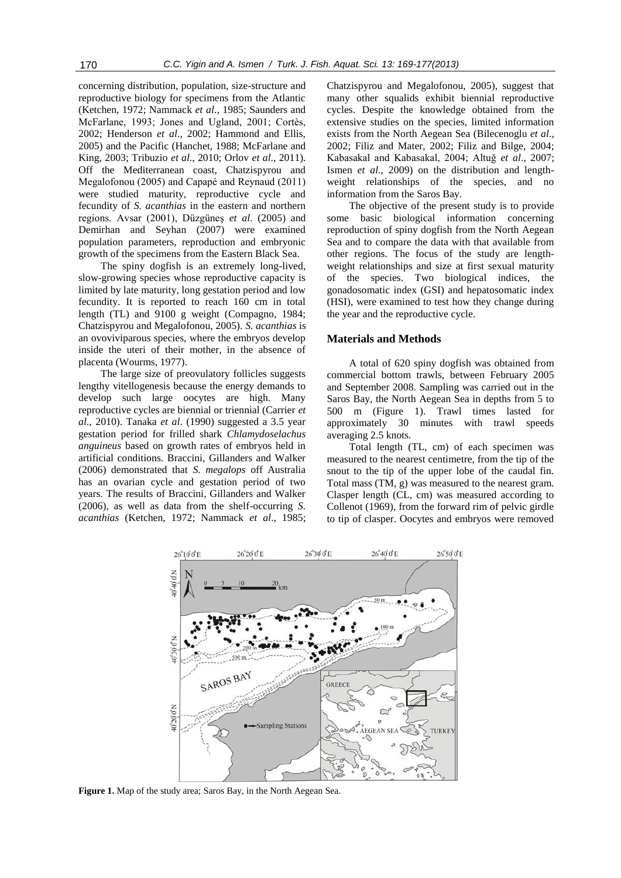concerning distribution, population, size-structure and reproductive biology for specimens from the Atlantic (Ketchen, 1972; Nammack *et al*., 1985; Saunders and McFarlane, 1993; Jones and Ugland, 2001; Cortès, 2002; Henderson *et al*., 2002; Hammond and Ellis, 2005) and the Pacific (Hanchet, 1988; McFarlane and King, 2003; Tribuzio *et al*., 2010; Orlov *et al*., 2011). Off the Mediterranean coast, Chatzispyrou and Megalofonou (2005) and Capapé and Reynaud (2011) were studied maturity, reproductive cycle and fecundity of *S. acanthias* in the eastern and northern regions. Avsar (2001), Düzgüneş *et al*. (2005) and Demirhan and Seyhan (2007) were examined population parameters, reproduction and embryonic growth of the specimens from the Eastern Black Sea.

The spiny dogfish is an extremely long-lived, slow-growing species whose reproductive capacity is limited by late maturity, long gestation period and low fecundity. It is reported to reach 160 cm in total length (TL) and 9100 g weight (Compagno, 1984; Chatzispyrou and Megalofonou, 2005). *S. acanthias* is an ovoviviparous species, where the embryos develop inside the uteri of their mother, in the absence of placenta (Wourms, 1977).

The large size of preovulatory follicles suggests lengthy vitellogenesis because the energy demands to develop such large oocytes are high. Many reproductive cycles are biennial or triennial (Carrier *et al*., 2010). Tanaka *et al*. (1990) suggested a 3.5 year gestation period for frilled shark *Chlamydoselachus anguineus* based on growth rates of embryos held in artificial conditions. Braccini, Gillanders and Walker (2006) demonstrated that *S. megalops* off Australia has an ovarian cycle and gestation period of two years. The results of Braccini, Gillanders and Walker (2006), as well as data from the shelf-occurring *S. acanthias* (Ketchen, 1972; Nammack *et al*., 1985;

Chatzispyrou and Megalofonou, 2005), suggest that many other squalids exhibit biennial reproductive cycles. Despite the knowledge obtained from the extensive studies on the species, limited information exists from the North Aegean Sea (Bilecenoglu *et al*., 2002; Filiz and Mater, 2002; Filiz and Bilge, 2004; Kabasakal and Kabasakal, 2004; Altuğ *et al*., 2007; Ismen *et al*., 2009) on the distribution and lengthweight relationships of the species, and no information from the Saros Bay.

The objective of the present study is to provide some basic biological information concerning reproduction of spiny dogfish from the North Aegean Sea and to compare the data with that available from other regions. The focus of the study are lengthweight relationships and size at first sexual maturity of the species. Two biological indices, the gonadosomatic index (GSI) and hepatosomatic index (HSI), were examined to test how they change during the year and the reproductive cycle.

#### **Materials and Methods**

A total of 620 spiny dogfish was obtained from commercial bottom trawls, between February 2005 and September 2008. Sampling was carried out in the Saros Bay, the North Aegean Sea in depths from 5 to 500 m (Figure 1). Trawl times lasted for approximately 30 minutes with trawl speeds averaging 2.5 knots.

Total length (TL, cm) of each specimen was measured to the nearest centimetre, from the tip of the snout to the tip of the upper lobe of the caudal fin. Total mass (TM, g) was measured to the nearest gram. Clasper length (CL, cm) was measured according to Collenot (1969), from the forward rim of pelvic girdle to tip of clasper. Oocytes and embryos were removed



**Figure 1.** Map of the study area; Saros Bay, in the North Aegean Sea.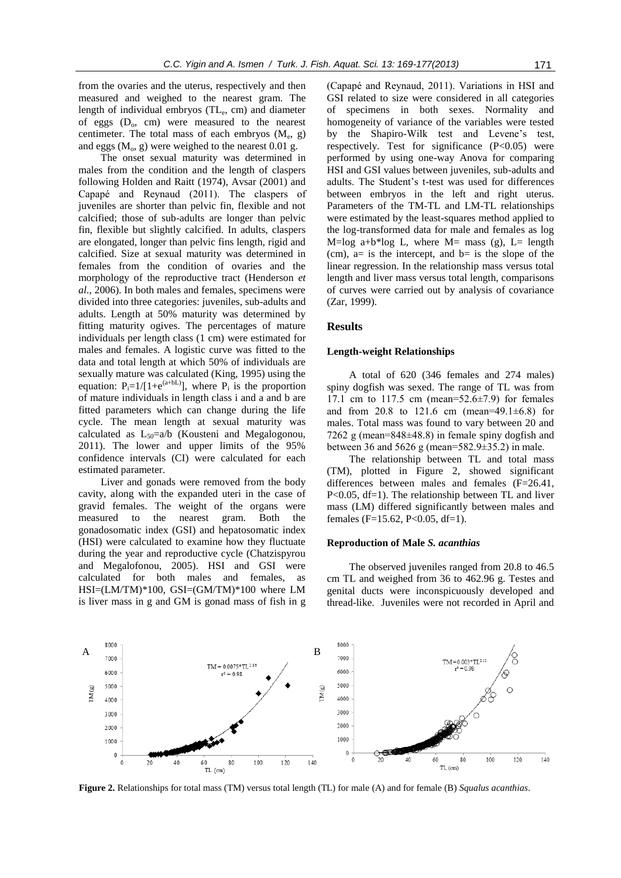from the ovaries and the uterus, respectively and then measured and weighed to the nearest gram. The length of individual embryos (TL<sub>e</sub>, cm) and diameter of eggs  $(D_0, cm)$  were measured to the nearest centimeter. The total mass of each embryos  $(M_e, g)$ and eggs  $(M_0, g)$  were weighed to the nearest 0.01 g.

The onset sexual maturity was determined in males from the condition and the length of claspers following Holden and Raitt (1974), Avsar (2001) and Capapé and Reynaud (2011). The claspers of juveniles are shorter than pelvic fin, flexible and not calcified; those of sub-adults are longer than pelvic fin, flexible but slightly calcified. In adults, claspers are elongated, longer than pelvic fins length, rigid and calcified. Size at sexual maturity was determined in females from the condition of ovaries and the morphology of the reproductive tract (Henderson *et al*., 2006). In both males and females, specimens were divided into three categories: juveniles, sub-adults and adults. Length at 50% maturity was determined by fitting maturity ogives. The percentages of mature individuals per length class (1 cm) were estimated for males and females. A logistic curve was fitted to the data and total length at which 50% of individuals are sexually mature was calculated (King, 1995) using the equation:  $P_i=1/[1+e^{(a+bL)}]$ , where  $P_i$  is the proportion of mature individuals in length class i and a and b are fitted parameters which can change during the life cycle. The mean length at sexual maturity was calculated as  $L_{50}=a/b$  (Kousteni and Megalogonou, 2011). The lower and upper limits of the 95% confidence intervals (CI) were calculated for each estimated parameter.

Liver and gonads were removed from the body cavity, along with the expanded uteri in the case of gravid females. The weight of the organs were measured to the nearest gram. Both the gonadosomatic index (GSI) and hepatosomatic index (HSI) were calculated to examine how they fluctuate during the year and reproductive cycle (Chatzispyrou and Megalofonou, 2005). HSI and GSI were calculated for both males and females, as HSI=(LM/TM)\*100, GSI=(GM/TM)\*100 where LM is liver mass in g and GM is gonad mass of fish in g

(Capapé and Reynaud, 2011). Variations in HSI and GSI related to size were considered in all categories of specimens in both sexes. Normality and homogeneity of variance of the variables were tested by the Shapiro-Wilk test and Levene's test, respectively. Test for significance  $(P<0.05)$  were performed by using one-way Anova for comparing HSI and GSI values between juveniles, sub-adults and adults. The Student's t-test was used for differences between embryos in the left and right uterus. Parameters of the TM-TL and LM-TL relationships were estimated by the least-squares method applied to the log-transformed data for male and females as log M=log a+b\*log L, where M= mass (g), L= length (cm),  $a=$  is the intercept, and  $b=$  is the slope of the linear regression. In the relationship mass versus total length and liver mass versus total length, comparisons of curves were carried out by analysis of covariance (Zar, 1999).

#### **Results**

#### **Length-weight Relationships**

A total of 620 (346 females and 274 males) spiny dogfish was sexed. The range of TL was from 17.1 cm to 117.5 cm (mean=52.6±7.9) for females and from 20.8 to 121.6 cm (mean=49.1 $\pm$ 6.8) for males. Total mass was found to vary between 20 and 7262 g (mean=848±48.8) in female spiny dogfish and between 36 and 5626 g (mean=582.9±35.2) in male.

The relationship between TL and total mass (TM), plotted in Figure 2, showed significant differences between males and females (F=26.41, P<0.05, df=1). The relationship between TL and liver mass (LM) differed significantly between males and females (F=15.62, P<0.05, df=1).

### **Reproduction of Male** *S. acanthias*

The observed juveniles ranged from 20.8 to 46.5 cm TL and weighed from 36 to 462.96 g. Testes and genital ducts were inconspicuously developed and thread-like. Juveniles were not recorded in April and



**Figure 2.** Relationships for total mass (TM) versus total length (TL) for male (A) and for female (B) *Squalus acanthias*.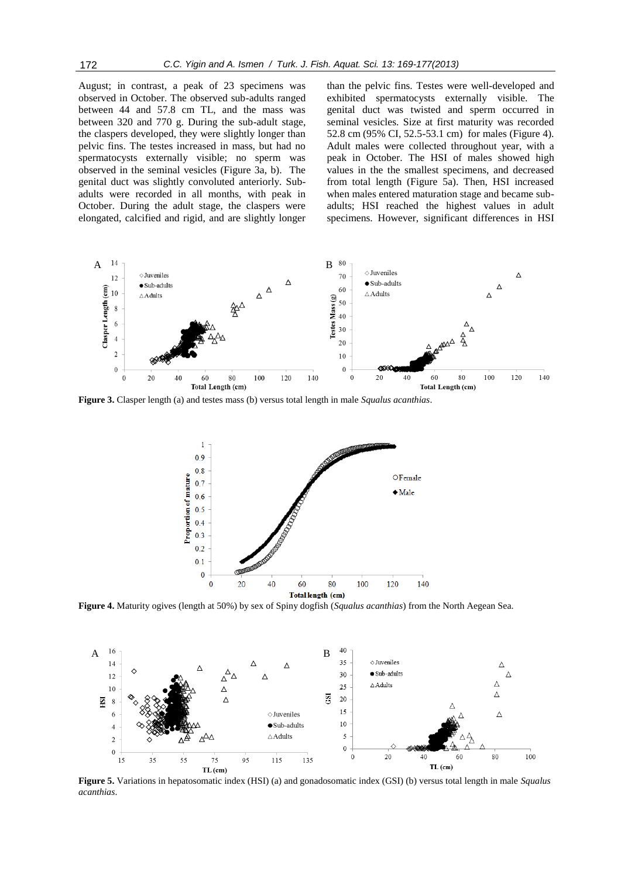August; in contrast, a peak of 23 specimens was observed in October. The observed sub-adults ranged between 44 and 57.8 cm TL, and the mass was between 320 and 770 g. During the sub-adult stage, the claspers developed, they were slightly longer than pelvic fins. The testes increased in mass, but had no spermatocysts externally visible; no sperm was observed in the seminal vesicles (Figure 3a, b). The genital duct was slightly convoluted anteriorly. Subadults were recorded in all months, with peak in October. During the adult stage, the claspers were elongated, calcified and rigid, and are slightly longer

than the pelvic fins. Testes were well-developed and exhibited spermatocysts externally visible. The genital duct was twisted and sperm occurred in seminal vesicles. Size at first maturity was recorded 52.8 cm (95% CI, 52.5-53.1 cm) for males (Figure 4). Adult males were collected throughout year, with a peak in October. The HSI of males showed high values in the the smallest specimens, and decreased from total length (Figure 5a). Then, HSI increased when males entered maturation stage and became subadults; HSI reached the highest values in adult specimens. However, significant differences in HSI



**Figure 3.** Clasper length (a) and testes mass (b) versus total length in male *Squalus acanthias*.



**Figure 4.** Maturity ogives (length at 50%) by sex of Spiny dogfish (*Squalus acanthias*) from the North Aegean Sea.



**Figure 5.** Variations in hepatosomatic index (HSI) (a) and gonadosomatic index (GSI) (b) versus total length in male *Squalus acanthias*.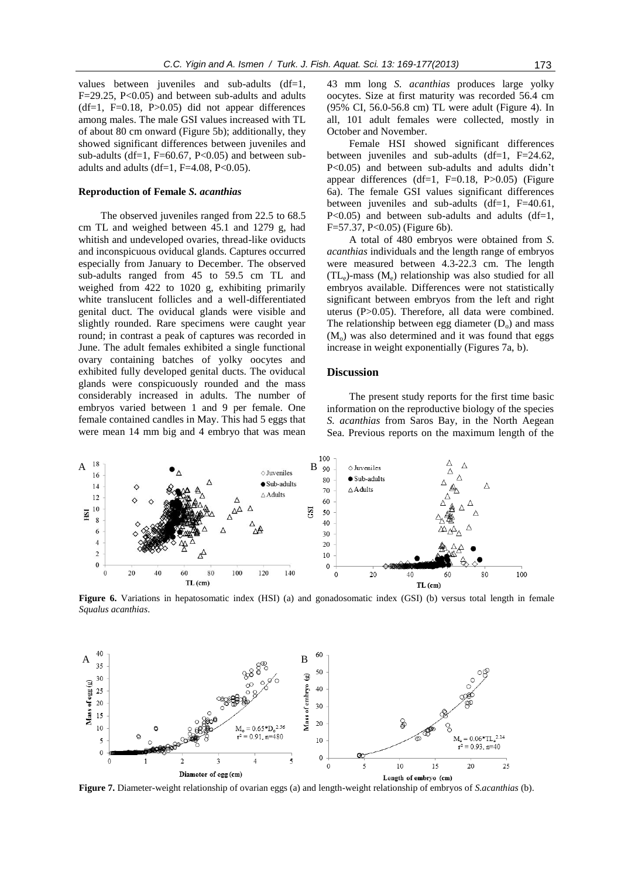values between juveniles and sub-adults (df=1,  $F=29.25$ ,  $P<0.05$ ) and between sub-adults and adults  $(df=1, F=0.18, P>0.05)$  did not appear differences among males. The male GSI values increased with TL of about 80 cm onward (Figure 5b); additionally, they showed significant differences between juveniles and sub-adults (df=1,  $F=60.67$ ,  $P<0.05$ ) and between subadults and adults (df=1,  $F=4.08$ ,  $P<0.05$ ).

#### **Reproduction of Female** *S. acanthias*

The observed juveniles ranged from 22.5 to 68.5 cm TL and weighed between 45.1 and 1279 g, had whitish and undeveloped ovaries, thread-like oviducts and inconspicuous oviducal glands. Captures occurred especially from January to December. The observed sub-adults ranged from 45 to 59.5 cm TL and weighed from 422 to 1020 g, exhibiting primarily white translucent follicles and a well-differentiated genital duct. The oviducal glands were visible and slightly rounded. Rare specimens were caught year round; in contrast a peak of captures was recorded in June. The adult females exhibited a single functional ovary containing batches of yolky oocytes and exhibited fully developed genital ducts. The oviducal glands were conspicuously rounded and the mass considerably increased in adults. The number of embryos varied between 1 and 9 per female. One female contained candles in May. This had 5 eggs that were mean 14 mm big and 4 embryo that was mean 43 mm long *S. acanthias* produces large yolky oocytes. Size at first maturity was recorded 56.4 cm (95% CI, 56.0-56.8 cm) TL were adult (Figure 4). In all, 101 adult females were collected, mostly in October and November.

Female HSI showed significant differences between juveniles and sub-adults  $(df=1, F=24.62,$ P<0.05) and between sub-adults and adults didn't appear differences (df=1, F=0.18, P>0.05) (Figure 6a). The female GSI values significant differences between juveniles and sub-adults (df=1, F=40.61,  $P<0.05$ ) and between sub-adults and adults (df=1, F=57.37, P<0.05) (Figure 6b).

A total of 480 embryos were obtained from *S. acanthias* individuals and the length range of embryos were measured between 4.3-22.3 cm. The length  $(TL_e)$ -mass  $(M_e)$  relationship was also studied for all embryos available. Differences were not statistically significant between embryos from the left and right uterus (P>0.05). Therefore, all data were combined. The relationship between egg diameter  $(D_0)$  and mass  $(M<sub>o</sub>)$  was also determined and it was found that eggs increase in weight exponentially (Figures 7a, b).

# **Discussion**

The present study reports for the first time basic information on the reproductive biology of the species *S. acanthias* from Saros Bay, in the North Aegean Sea. Previous reports on the maximum length of the



**Figure 6.** Variations in hepatosomatic index (HSI) (a) and gonadosomatic index (GSI) (b) versus total length in female *Squalus acanthias*.



**Figure 7.** Diameter-weight relationship of ovarian eggs (a) and length-weight relationship of embryos of *S.acanthias* (b).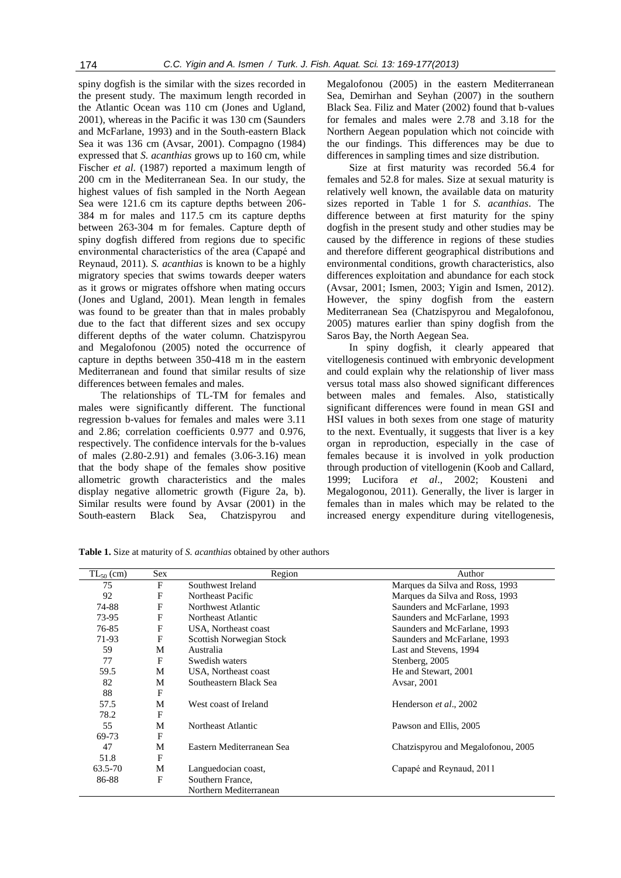spiny dogfish is the similar with the sizes recorded in the present study. The maximum length recorded in the Atlantic Ocean was 110 cm (Jones and Ugland, 2001), whereas in the Pacific it was 130 cm (Saunders and McFarlane, 1993) and in the South-eastern Black Sea it was 136 cm (Avsar, 2001). Compagno (1984) expressed that *S. acanthias* grows up to 160 cm, while Fischer *et al*. (1987) reported a maximum length of 200 cm in the Mediterranean Sea. In our study, the highest values of fish sampled in the North Aegean Sea were 121.6 cm its capture depths between 206- 384 m for males and 117.5 cm its capture depths between 263-304 m for females. Capture depth of spiny dogfish differed from regions due to specific environmental characteristics of the area (Capapé and Reynaud, 2011). *S. acanthias* is known to be a highly migratory species that swims towards deeper waters as it grows or migrates offshore when mating occurs (Jones and Ugland, 2001). Mean length in females was found to be greater than that in males probably due to the fact that different sizes and sex occupy different depths of the water column. Chatzispyrou and Megalofonou (2005) noted the occurrence of capture in depths between 350-418 m in the eastern Mediterranean and found that similar results of size differences between females and males.

The relationships of TL-TM for females and males were significantly different. The functional regression b-values for females and males were 3.11 and 2.86; correlation coefficients 0.977 and 0.976, respectively. The confidence intervals for the b-values of males (2.80-2.91) and females (3.06-3.16) mean that the body shape of the females show positive allometric growth characteristics and the males display negative allometric growth (Figure 2a, b). Similar results were found by Avsar (2001) in the South-eastern Black Sea, Chatzispyrou and

Megalofonou (2005) in the eastern Mediterranean Sea, Demirhan and Seyhan (2007) in the southern Black Sea. Filiz and Mater (2002) found that b-values for females and males were 2.78 and 3.18 for the Northern Aegean population which not coincide with the our findings. This differences may be due to differences in sampling times and size distribution.

Size at first maturity was recorded 56.4 for females and 52.8 for males. Size at sexual maturity is relatively well known, the available data on maturity sizes reported in Table 1 for *S. acanthias*. The difference between at first maturity for the spiny dogfish in the present study and other studies may be caused by the difference in regions of these studies and therefore different geographical distributions and environmental conditions, growth characteristics, also differences exploitation and abundance for each stock (Avsar, 2001; Ismen, 2003; Yigin and Ismen, 2012). However, the spiny dogfish from the eastern Mediterranean Sea (Chatzispyrou and Megalofonou, 2005) matures earlier than spiny dogfish from the Saros Bay, the North Aegean Sea.

In spiny dogfish, it clearly appeared that vitellogenesis continued with embryonic development and could explain why the relationship of liver mass versus total mass also showed significant differences between males and females. Also, statistically significant differences were found in mean GSI and HSI values in both sexes from one stage of maturity to the next. Eventually, it suggests that liver is a key organ in reproduction, especially in the case of females because it is involved in yolk production through production of vitellogenin (Koob and Callard, 1999; Lucifora *et al*., 2002; Kousteni and Megalogonou, 2011). Generally, the liver is larger in females than in males which may be related to the increased energy expenditure during vitellogenesis,

| $TL_{50}$ (cm) | Sex          | Region                    | Author                             |
|----------------|--------------|---------------------------|------------------------------------|
| 75             | F            | Southwest Ireland         | Marques da Silva and Ross, 1993    |
| 92             | F            | Northeast Pacific         | Marques da Silva and Ross, 1993    |
| 74-88          | F            | Northwest Atlantic        | Saunders and McFarlane, 1993       |
| 73-95          | F            | Northeast Atlantic        | Saunders and McFarlane, 1993       |
| 76-85          | F            | USA, Northeast coast      | Saunders and McFarlane, 1993       |
| 71-93          | F            | Scottish Norwegian Stock  | Saunders and McFarlane, 1993       |
| 59             | M            | Australia                 | Last and Stevens, 1994             |
| 77             | F            | Swedish waters            | Stenberg, 2005                     |
| 59.5           | M            | USA, Northeast coast      | He and Stewart, 2001               |
| 82             | M            | Southeastern Black Sea    | Avsar, 2001                        |
| 88             | F            |                           |                                    |
| 57.5           | M            | West coast of Ireland     | Henderson et al., 2002             |
| 78.2           | $\mathbf{F}$ |                           |                                    |
| 55             | M            | Northeast Atlantic        | Pawson and Ellis, 2005             |
| 69-73          | F            |                           |                                    |
| 47             | M            | Eastern Mediterranean Sea | Chatzispyrou and Megalofonou, 2005 |
| 51.8           | F            |                           |                                    |
| 63.5-70        | М            | Languedocian coast,       | Capapé and Reynaud, 2011           |
| 86-88          | F            | Southern France,          |                                    |
|                |              | Northern Mediterranean    |                                    |

**Table 1.** Size at maturity of *S. acanthias* obtained by other authors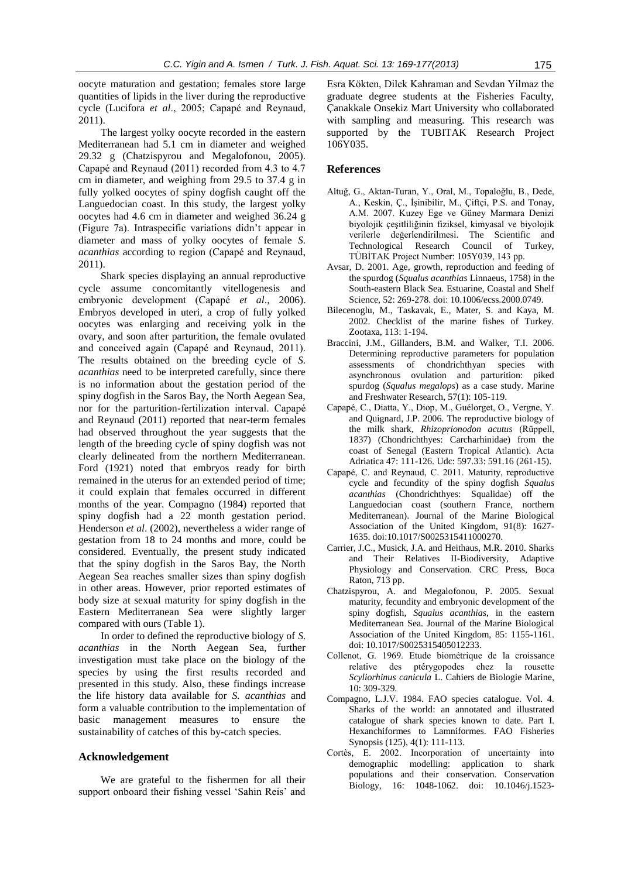oocyte maturation and gestation; females store large quantities of lipids in the liver during the reproductive cycle (Lucifora *et al*., 2005; Capapé and Reynaud, 2011).

The largest yolky oocyte recorded in the eastern Mediterranean had 5.1 cm in diameter and weighed 29.32 g (Chatzispyrou and Megalofonou, 2005). Capapé and Reynaud (2011) recorded from 4.3 to 4.7 cm in diameter, and weighing from 29.5 to 37.4 g in fully yolked oocytes of spiny dogfish caught off the Languedocian coast. In this study, the largest yolky oocytes had 4.6 cm in diameter and weighed 36.24 g (Figure 7a). Intraspecific variations didn't appear in diameter and mass of yolky oocytes of female *S. acanthias* according to region (Capapé and Reynaud, 2011).

Shark species displaying an annual reproductive cycle assume concomitantly vitellogenesis and embryonic development (Capapé *et al*., 2006). Embryos developed in uteri, a crop of fully yolked oocytes was enlarging and receiving yolk in the ovary, and soon after parturition, the female ovulated and conceived again (Capapé and Reynaud, 2011). The results obtained on the breeding cycle of *S. acanthias* need to be interpreted carefully, since there is no information about the gestation period of the spiny dogfish in the Saros Bay, the North Aegean Sea, nor for the parturition-fertilization interval. Capapé and Reynaud (2011) reported that near-term females had observed throughout the year suggests that the length of the breeding cycle of spiny dogfish was not clearly delineated from the northern Mediterranean. Ford (1921) noted that embryos ready for birth remained in the uterus for an extended period of time; it could explain that females occurred in different months of the year. Compagno (1984) reported that spiny dogfish had a 22 month gestation period. Henderson *et al*. (2002), nevertheless a wider range of gestation from 18 to 24 months and more, could be considered. Eventually, the present study indicated that the spiny dogfish in the Saros Bay, the North Aegean Sea reaches smaller sizes than spiny dogfish in other areas. However, prior reported estimates of body size at sexual maturity for spiny dogfish in the Eastern Mediterranean Sea were slightly larger compared with ours (Table 1).

In order to defined the reproductive biology of *S. acanthias* in the North Aegean Sea, further investigation must take place on the biology of the species by using the first results recorded and presented in this study. Also, these findings increase the life history data available for *S. acanthias* and form a valuable contribution to the implementation of basic management measures to ensure the sustainability of catches of this by-catch species.

# **Acknowledgement**

We are grateful to the fishermen for all their support onboard their fishing vessel 'Sahin Reis' and Esra Kökten, Dilek Kahraman and Sevdan Yilmaz the graduate degree students at the Fisheries Faculty, Çanakkale Onsekiz Mart University who collaborated with sampling and measuring. This research was supported by the TUBITAK Research Project 106Y035.

# **References**

- Altuğ, G., Aktan-Turan, Y., Oral, M., Topaloğlu, B., Dede, A., Keskin, Ç., İşinibilir, M., Çiftçi, P.S. and Tonay, A.M. 2007. Kuzey Ege ve Güney Marmara Denizi biyolojik çeşitliliğinin fiziksel, kimyasal ve biyolojik verilerle değerlendirilmesi. The Scientific and Technological Research Council of Turkey, TÜBİTAK Project Number: 105Y039, 143 pp.
- Avsar, D. 2001. Age, growth, reproduction and feeding of the spurdog (*Squalus acanthias* Linnaeus, 1758) in the South-eastern Black Sea. Estuarine, Coastal and Shelf Science, 52: 269-278. doi: 10.1006/ecss.2000.0749.
- Bilecenoglu, M., Taskavak, E., Mater, S. and Kaya, M. 2002. Checklist of the marine fishes of Turkey. Zootaxa, 113: 1-194.
- Braccini, J.M., Gillanders, B.M. and Walker, T.I. 2006. Determining reproductive parameters for population assessments of chondrichthyan species with asynchronous ovulation and parturition: piked spurdog (*Squalus megalops*) as a case study. Marine and Freshwater Research, 57(1): 105-119.
- Capapé, C., Diatta, Y., Diop, M., Guélorget, O., Vergne, Y. and Quignard, J.P. 2006. The reproductive biology of the milk shark, *Rhizoprionodon acutus* (Rüppell, 1837) (Chondrichthyes: Carcharhinidae) from the coast of Senegal (Eastern Tropical Atlantic). Acta Adriatica 47: 111-126. Udc: 597.33: 591.16 (261-15).
- Capapé, C. and Reynaud, C. 2011. Maturity, reproductive cycle and fecundity of the spiny dogfish *Squalus acanthias* (Chondrichthyes: Squalidae) off the Languedocian coast (southern France, northern Mediterranean). Journal of the Marine Biological Association of the United Kingdom, 91(8): 1627- 1635. doi:10.1017/S0025315411000270.
- Carrier, J.C., Musick, J.A. and Heithaus, M.R. 2010. Sharks and Their Relatives II-Biodiversity, Adaptive Physiology and Conservation. CRC Press, Boca Raton, 713 pp.
- Chatzispyrou, A. and Megalofonou, P. 2005. Sexual maturity, fecundity and embryonic development of the spiny dogfish, *Squalus acanthias*, in the eastern Mediterranean Sea. Journal of the Marine Biological Association of the United Kingdom, 85: 1155-1161. doi: 10.1017/S0025315405012233.
- Collenot, G. 1969. Etude biométrique de la croissance relative des ptérygopodes chez la rousette *Scyliorhinus canicula* L. Cahiers de Biologie Marine, 10: 309-329.
- Compagno, L.J.V. 1984. FAO species catalogue. Vol. 4. Sharks of the world: an annotated and illustrated catalogue of shark species known to date. Part I. Hexanchiformes to Lamniformes. FAO Fisheries Synopsis (125), 4(1): 111-113.
- Cortès, E. 2002. Incorporation of uncertainty into demographic modelling: application to shark populations and their conservation. Conservation Biology, 16: 1048-1062. doi: 10.1046/j.1523-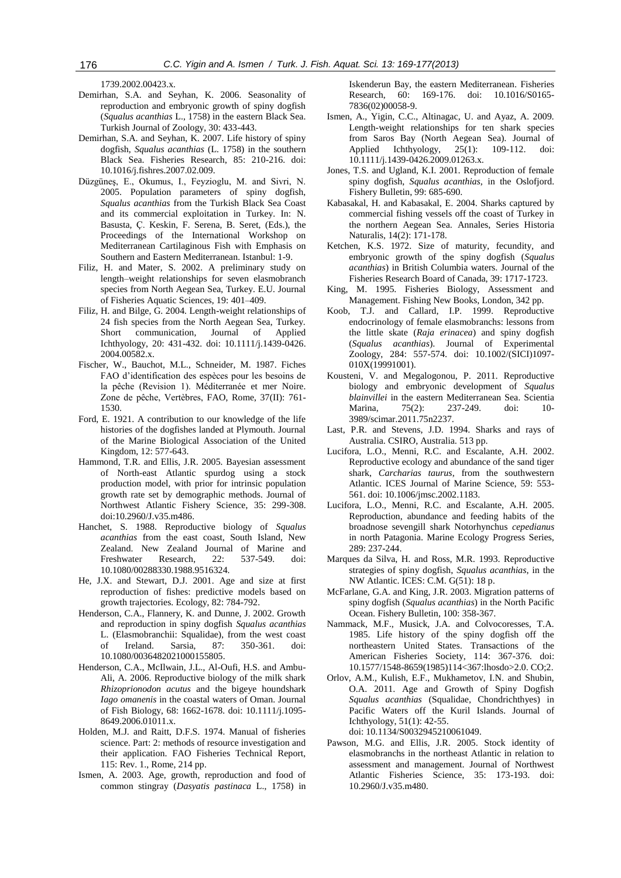1739.2002.00423.x.

- Demirhan, S.A. and Seyhan, K. 2006. Seasonality of reproduction and embryonic growth of spiny dogfish (*Squalus acanthias* L., 1758) in the eastern Black Sea. Turkish Journal of Zoology, 30: 433-443.
- Demirhan, S.A. and Seyhan, K. 2007. Life history of spiny dogfish, *Squalus acanthias* (L. 1758) in the southern Black Sea. Fisheries Research, 85: 210-216. doi: 10.1016/j.fishres.2007.02.009.
- Düzgüneş, E., Okumus, I., Feyzioglu, M. and Sivri, N. 2005. Population parameters of spiny dogfish, *Squalus acanthias* from the Turkish Black Sea Coast and its commercial exploitation in Turkey. In: N. Basusta, Ç. Keskin, F. Serena, B. Seret, (Eds.), the Proceedings of the International Workshop on Mediterranean Cartilaginous Fish with Emphasis on Southern and Eastern Mediterranean. Istanbul: 1-9.
- Filiz, H. and Mater, S. 2002. A preliminary study on length–weight relationships for seven elasmobranch species from North Aegean Sea, Turkey. E.U. Journal of Fisheries Aquatic Sciences, 19: 401–409.
- Filiz, H. and Bilge, G. 2004. Length-weight relationships of 24 fish species from the North Aegean Sea, Turkey. Short communication, Journal of Applied Ichthyology, 20: 431-432. doi: 10.1111/j.1439-0426. 2004.00582.x.
- Fischer, W., Bauchot, M.L., Schneider, M. 1987. Fiches FAO d'identification des espèces pour les besoins de la pêche (Revision 1). Méditerranée et mer Noire. Zone de pêche, Vertèbres, FAO, Rome, 37(II): 761- 1530.
- Ford, E. 1921. A contribution to our knowledge of the life histories of the dogfishes landed at Plymouth. Journal of the Marine Biological Association of the United Kingdom, 12: 577-643.
- Hammond, T.R. and Ellis, J.R. 2005. Bayesian assessment of North-east Atlantic spurdog using a stock production model, with prior for intrinsic population growth rate set by demographic methods. Journal of Northwest Atlantic Fishery Science, 35: 299-308. doi:10.2960/J.v35.m486.
- Hanchet, S. 1988. Reproductive biology of *Squalus acanthias* from the east coast, South Island, New Zealand. New Zealand Journal of Marine and Freshwater Research, 22: 537-549. doi: 10.1080/00288330.1988.9516324.
- He, J.X. and Stewart, D.J. 2001. Age and size at first reproduction of fishes: predictive models based on growth trajectories. Ecology, 82: 784-792.
- Henderson, C.A., Flannery, K. and Dunne, J. 2002. Growth and reproduction in spiny dogfish *Squalus acanthias* L. (Elasmobranchii: Squalidae), from the west coast of Ireland. Sarsia, 87: 350-361. doi: 10.1080/0036482021000155805.
- Henderson, C.A., McIlwain, J.L., Al-Oufi, H.S. and Ambu-Ali, A. 2006. Reproductive biology of the milk shark *Rhizoprionodon acutus* and the bigeye houndshark *Iago omanenis* in the coastal waters of Oman. Journal of Fish Biology, 68: 1662-1678. doi: 10.1111/j.1095- 8649.2006.01011.x.
- Holden, M.J. and Raitt, D.F.S. 1974. Manual of fisheries science. Part: 2: methods of resource investigation and their application. FAO Fisheries Technical Report, 115: Rev. 1., Rome, 214 pp.
- Ismen, A. 2003. Age, growth, reproduction and food of common stingray (*Dasyatis pastinaca* L., 1758) in

Iskenderun Bay, the eastern Mediterranean. Fisheries Research, 60: 169-176. doi: 10.1016/S0165- 7836(02)00058-9.

- Ismen, A., Yigin, C.C., Altinagac, U. and Ayaz, A. 2009. Length-weight relationships for ten shark species from Saros Bay (North Aegean Sea). Journal of Applied Ichthyology, 25(1): 109-112. doi: 10.1111/j.1439-0426.2009.01263.x.
- Jones, T.S. and Ugland, K.I. 2001. Reproduction of female spiny dogfish, *Squalus acanthias*, in the Oslofjord. Fishery Bulletin, 99: 685-690.
- Kabasakal, H. and Kabasakal, E. 2004. Sharks captured by commercial fishing vessels off the coast of Turkey in the northern Aegean Sea. Annales, Series Historia Naturalis, 14(2): 171-178.
- Ketchen, K.S. 1972. Size of maturity, fecundity, and embryonic growth of the spiny dogfish (*Squalus acanthias*) in British Columbia waters. Journal of the Fisheries Research Board of Canada, 39: 1717-1723.
- King, M. 1995. Fisheries Biology, Assessment and Management. Fishing New Books, London, 342 pp.
- Koob, T.J. and Callard, I.P. 1999. Reproductive endocrinology of female elasmobranchs: lessons from the little skate (*Raja erinacea*) and spiny dogfish (*Squalus acanthias*). Journal of Experimental Zoology, 284: 557-574. doi: 10.1002/(SICI)1097- 010X(19991001).
- Kousteni, V. and Megalogonou, P. 2011. Reproductive biology and embryonic development of *Squalus blainvillei* in the eastern Mediterranean Sea. Scientia Marina, 75(2): 237-249. doi: 10- 3989/scimar.2011.75n2237.
- Last, P.R. and Stevens, J.D. 1994. Sharks and rays of Australia. CSIRO, Australia. 513 pp.
- Lucifora, L.O., Menni, R.C. and Escalante, A.H. 2002. Reproductive ecology and abundance of the sand tiger shark, *Carcharias taurus*, from the southwestern Atlantic. ICES Journal of Marine Science, 59: 553- 561. doi: 10.1006/jmsc.2002.1183.
- Lucifora, L.O., Menni, R.C. and Escalante, A.H. 2005. Reproduction, abundance and feeding habits of the broadnose sevengill shark Notorhynchus *cepedianus* in north Patagonia. Marine Ecology Progress Series, 289: 237-244.
- Marques da Silva, H. and Ross, M.R. 1993. Reproductive strategies of spiny dogfish, *Squalus acanthias*, in the NW Atlantic. ICES: C.M. G(51): 18 p.
- McFarlane, G.A. and King, J.R. 2003. Migration patterns of spiny dogfish (*Squalus acanthias*) in the North Pacific Ocean. Fishery Bulletin, 100: 358-367.
- Nammack, M.F., Musick, J.A. and Colvocoresses, T.A. 1985. Life history of the spiny dogfish off the northeastern United States. Transactions of the American Fisheries Society, 114: 367-376. doi: 10.1577/1548-8659(1985)114<367:lhosdo>2.0. CO;2.
- Orlov, A.M., Kulish, E.F., Mukhametov, I.N. and Shubin, O.A. 2011. Age and Growth of Spiny Dogfish *Squalus acanthias* (Squalidae, Chondrichthyes) in Pacific Waters off the Kuril Islands. Journal of Ichthyology, 51(1): 42-55. doi: 10.1134/S0032945210061049.
- Pawson, M.G. and Ellis, J.R. 2005. Stock identity of elasmobranchs in the northeast Atlantic in relation to assessment and management. Journal of Northwest Atlantic Fisheries Science, 35: 173-193. doi: 10.2960/J.v35.m480.